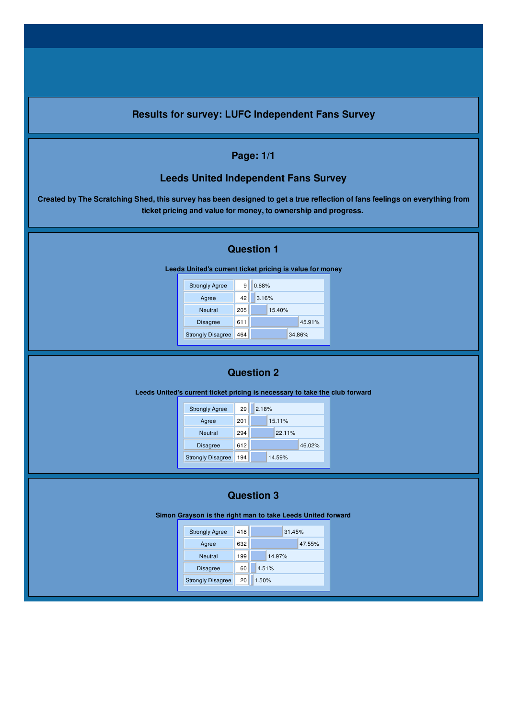